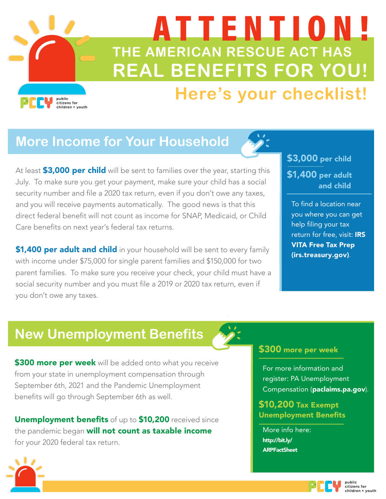# **THE AMERICAN RESCUE ACT HAS REAL BENEFITS FOR YOU!** ATTENTION!

# **Here's your checklist!**

# **More Income for Your Household**

public citizens for<br>children + youth

At least **\$3,000 per child** will be sent to families over the year, starting this July. To make sure you get your payment, make sure your child has a social security number and file a 2020 tax return, even if you don't owe any taxes, and you will receive payments automatically. The good news is that this direct federal benefit will not count as income for SNAP, Medicaid, or Child Care benefits on next year's federal tax returns.

\$1,400 per adult and child in your household will be sent to every family with income under \$75,000 for single parent families and \$150,000 for two parent families. To make sure you receive your check, your child must have a social security number and you must file a 2019 or 2020 tax return, even if you don't owe any taxes.

### \$3,000 per child \$1,400 per adult and child

To find a location near [you where you can get](https://www.irs.gov/filing/free-file-do-your-federal-taxes-for-free)  help filing your tax return for free, visit: IRS VITA Free Tax Prep (irs.treasury.gov).

# **New Unemployment Benefits**

\$300 more per week will be added onto what you receive from your state in unemployment compensation through September 6th, 2021 and the Pandemic Unemployment benefits will go through September 6th as well.

Unemployment benefits of up to \$10,200 received since the pandemic began will not count as taxable income for your 2020 federal tax return.

### \$300 more per week

[For more information](https://www.uc.pa.gov/unemployment-benefits/file) and register: PA Unemployment Compensation (paclaims.pa.gov).

\$10,200 Tax Exempt Unemployment Benefits

More info here: http://bit.ly/ [ARPFactSheet](http://bit.ly/ARPFactSheet)



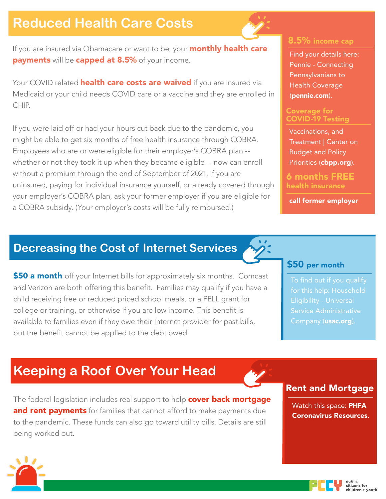### **Reduced Health Care Costs**

If you are insured via Obamacare or want to be, your **monthly health care** payments will be capped at 8.5% of your income.

Your COVID related **health care costs are waived** if you are insured via Medicaid or your child needs COVID care or a vaccine and they are enrolled in CHIP.

If you were laid off or had your hours cut back due to the pandemic, you might be able to get six months of free health insurance through COBRA. Employees who are or were eligible for their employer's COBRA plan - whether or not they took it up when they became eligible -- now can enroll without a premium through the end of September of 2021. If you are uninsured, paying for individual insurance yourself, or already covered through your employer's COBRA plan, ask your former employer if you are eligible for a COBRA subsidy. (Your employer's costs will be fully reimbursed.)

### 8.5% income cap

[Find your details here:](https://pennie.com/)  Pennie - Connecting Pennsylvanians to Health Coverage (pennie.com).

#### Coverage for COVID-19 Testing

Vaccinations, and Treatment | Center on Budget and Policy Priorities ([cbpp.org](https://www.cbpp.org/research/health/coverage-for-covid-19-testing-vaccinations-and-treatment)).

6 months FREE health insurance

call former employer

### **Decreasing the Cost of Internet Services**

**\$50 a month** off your Internet bills for approximately six months. Comcast and Verizon are both offering this benefit. Families may qualify if you have a child receiving free or reduced priced school meals, or a PELL grant for college or training, or otherwise if you are low income. This benefit is available to families even if they owe their Internet provider for past bills, but the benefit cannot be applied to the debt owed.

#### \$50 per month

for this help: Household Service Administrative Company (**[usac.org](https://www.usac.org/about/emergency-broadband-benefit-program/application-and-eligibility-resources/household-eligibility/)**).

# **Keeping a Roof Over Your Head**

The federal legislation includes real support to help **cover back mortgage** and rent payments for families that cannot afford to make payments due to the pandemic. These funds can also go toward utility bills. Details are still being worked out.

### Rent and Mortgage

Watch this space: PHFA [Coronavirus Resources](https://www.phfa.org/news/covid19/).



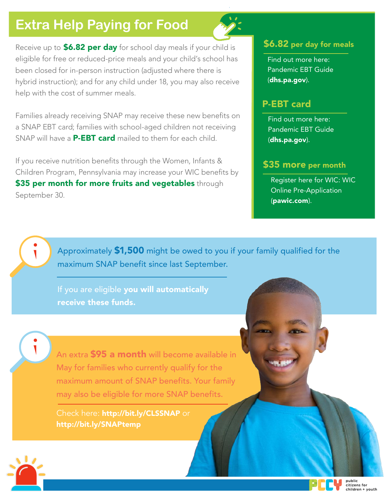# **Extra Help Paying for Food**

Receive up to **\$6.82 per day** for school day meals if your child is eligible for free or reduced-price meals and your child's school has been closed for in-person instruction (adjusted where there is hybrid instruction); and for any child under 18, you may also receive help with the cost of summer meals.

Families already receiving SNAP may receive these new benefits on a SNAP EBT card; families with school-aged children not receiving SNAP will have a **P-EBT card** mailed to them for each child.

If you receive nutrition benefits through the Women, Infants & Children Program, Pennsylvania may increase your WIC benefits by \$35 per month for more fruits and vegetables through September 30.

#### \$6.82 per day for meals

Find out more here: [Pandemic EBT Guide](https://www.dhs.pa.gov/coronavirus/Pages/P-EBT-Guide.aspx) (dhs.pa.gov).

### P-EBT card

Find out more here: [Pandemic EBT Guide](https://www.dhs.pa.gov/coronavirus/Pages/P-EBT-Guide.aspx) (dhs.pa.gov).

### \$35 more per month

[Register here for WIC: WIC](https://www.pawic.com/OnlineApplication.aspx) Online Pre-Application (pawic.com).

Approximately \$1,500 might be owed to you if your family qualified for the maximum SNAP benefit since last September.

If you are eligible you will automatically receive these funds.

An extra 595 a month will become available in May for families who currently qualify for the maximum amount of SNAP benefits. Your family may also be eligible for more SNAP benefits.

Check here: <http://bit.ly/CLSSNAP> or <http://bit.ly/SNAPtemp>



 $\overline{\phantom{a}}$ 

 $\overline{\mathbf{I}}$